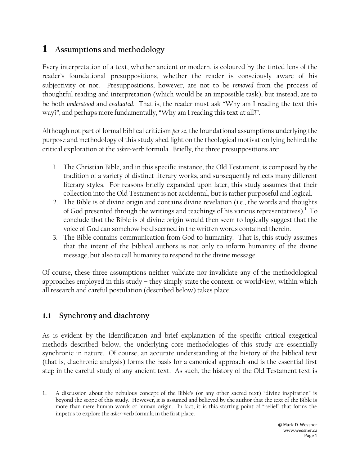# **1 Assumptions and methodology**

Every interpretation of a text, whether ancient or modern, is coloured by the tinted lens of the reader"s foundational presuppositions, whether the reader is consciously aware of his subjectivity or not. Presuppositions, however, are not to be *removed* from the process of thoughtful reading and interpretation (which would be an impossible task), but instead, are to be both *understood* and *evaluated*. That is, the reader must ask "Why am I reading the text this way?", and perhaps more fundamentally, "Why am I reading this text at all?".

Although not part of formal biblical criticism *per se*, the foundational assumptions underlying the purpose and methodology of this study shed light on the theological motivation lying behind the critical exploration of the *asher*-verb formula. Briefly, the three presuppositions are:

- 1. The Christian Bible, and in this specific instance, the Old Testament, is composed by the tradition of a variety of distinct literary works, and subsequently reflects many different literary styles. For reasons briefly expanded upon later, this study assumes that their collection into the Old Testament is not accidental, but is rather purposeful and logical.
- 2. The Bible is of divine origin and contains divine revelation (i.e., the words and thoughts of God presented through the writings and teachings of his various representatives). $^{\rm l}$  To conclude that the Bible is of divine origin would then seem to logically suggest that the voice of God can somehow be discerned in the written words contained therein.
- 3. The Bible contains communication from God to humanity. That is, this study assumes that the intent of the biblical authors is not only to inform humanity of the divine message, but also to call humanity to respond to the divine message.

Of course, these three assumptions neither validate nor invalidate any of the methodological approaches employed in this study – they simply state the context, or worldview, within which all research and careful postulation (described below) takes place.

## **1.1 Synchrony and diachrony**

As is evident by the identification and brief explanation of the specific critical exegetical methods described below, the underlying core methodologies of this study are essentially synchronic in nature. Of course, an accurate understanding of the history of the biblical text (that is, diachronic analysis) forms the basis for a canonical approach and is the essential first step in the careful study of any ancient text. As such, the history of the Old Testament text is

 $\overline{a}$ 1. A discussion about the nebulous concept of the Bible"s (or any other sacred text) "divine inspiration" is beyond the scope of this study. However, it is assumed and believed by the author that the text of the Bible is more than mere human words of human origin. In fact, it is this starting point of "belief" that forms the impetus to explore the *asher*-verb formula in the first place.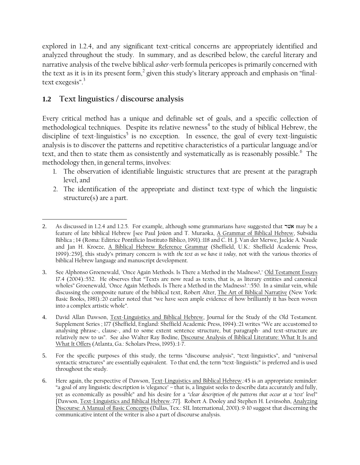explored in 1.2.4, and any significant text-critical concerns are appropriately identified and analyzed throughout the study. In summary, and as described below, the careful literary and narrative analysis of the twelve biblical *asher*-verb formula pericopes is primarily concerned with the text as it is in its present form, $^2$  given this study's literary approach and emphasis on "finaltext exegesis".<sup>3</sup>

## **1.2 Text linguistics / discourse analysis**

Every critical method has a unique and definable set of goals, and a specific collection of methodological techniques. Despite its relative newness $^4$  to the study of biblical Hebrew, the discipline of text-linguistics $^5$  is no exception. In essence, the goal of every text-linguistic analysis is to discover the patterns and repetitive characteristics of a particular language and/or text, and then to state them as consistently and systematically as is reasonably possible. $^6\:$  The methodology then, in general terms, involves:

- 1. The observation of identifiable linguistic structures that are present at the paragraph level, and
- 2. The identification of the appropriate and distinct text-type of which the linguistic structure(s) are a part.

 $\overline{a}$ 2. As discussed in 1.2.4 and 1.2.5. For example, although some grammarians have suggested that *א*שׁר may be a feature of late biblical Hebrew [see Paul Joüon and T. Muraoka, A Grammar of Biblical Hebrew, Subsidia Biblica ; 14 (Roma: Editrice Pontificio Instituto Biblico, 1991).:118 and C. H. J. Van der Merwe, Jackie A. Naude and Jan H. Kroeze, A Biblical Hebrew Reference Grammar (Sheffield, U.K.: Sheffield Academic Press, 1999).:259], this study"s primary concern is with *the text as we have it today,* not with the various theories of biblical Hebrew language and manuscript development.

<sup>3.</sup> See Alphonso Groenewald, "Once Again Methods. Is There a Method in the Madness?," Old Testament Essays 17.4 (2004).:552. He observes that "Texts are now read as texts, that is, as literary entities and canonical wholes" Groenewald, "Once Again Methods. Is There a Method in the Madness?.":550. In a similar vein, while discussing the composite nature of the biblical text, Robert Alter, The Art of Biblical Narrative (New York: Basic Books, 1981).:20 earlier noted that "we have seen ample evidence of how brilliantly it has been woven into a complex artistic whole".

<sup>4.</sup> David Allan Dawson, Text-Linguistics and Biblical Hebrew, Journal for the Study of the Old Testament. Supplement Series ; 177 (Sheffield, England: Sheffield Academic Press, 1994).:21 writes "We are accustomed to analysing phrase-, clause-, and to some extent sentence structure, but paragraph- and text-structure are relatively new to us". See also Walter Ray Bodine, Discourse Analysis of Biblical Literature: What It Is and What It Offers (Atlanta, Ga.: Scholars Press, 1995).:1-7.

<sup>5.</sup> For the specific purposes of this study, the terms "discourse analysis", "text-linguistics", and "universal syntactic structures" are essentially equivalent. To that end, the term "text-linguistic" is preferred and is used throughout the study.

<sup>6.</sup> Here again, the perspective of Dawson, Text-Linguistics and Biblical Hebrew.:45 is an appropriate reminder: "a goal of any linguistic description is "elegance" – that is, a linguist seeks to describe data accurately and fully, yet as economically as possible" and his desire for a *"clear description of the patterns that occur at a "text" level*" [Dawson, Text-Linguistics and Biblical Hebrew.:77]. Robert A. Dooley and Stephen H. Levinsohn, Analyzing Discourse: A Manual of Basic Concepts (Dallas, Tex.: SIL International, 2001).:9-10 suggest that discerning the communicative intent of the writer is also a part of discourse analysis.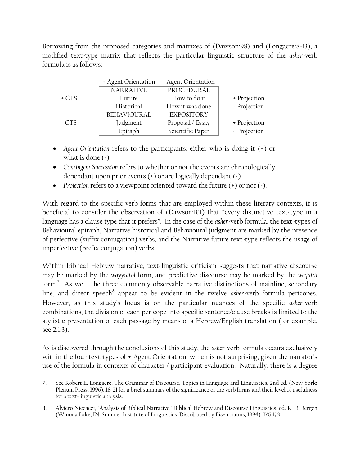Borrowing from the proposed categories and matrixes of (Dawson:98) and (Longacre:8-13), a modified text-type matrix that reflects the particular linguistic structure of the *asher*-verb formula is as follows:

|        | + Agent Orientation | - Agent Orientation |              |
|--------|---------------------|---------------------|--------------|
|        | <b>NARRATIVE</b>    | PROCEDURAL          |              |
| $+CTS$ | Future              | How to do it        | + Projection |
|        | Historical          | How it was done     | - Projection |
|        | BEHAVIOURAL         | <b>EXPOSITORY</b>   |              |
| $-CTS$ | Judgment            | Proposal / Essay    | + Projection |
|        | Epitaph             | Scientific Paper    | - Projection |

- *Agent Orientation* refers to the participants: either who is doing it (+) or what is done  $(\cdot)$ .
- *Contingent Succession* refers to whether or not the events are chronologically dependant upon prior events (+) or are logically dependant (-)
- *Projection* refers to a viewpoint oriented toward the future (+) or not (-).

With regard to the specific verb forms that are employed within these literary contexts, it is beneficial to consider the observation of (Dawson:101) that "every distinctive text-type in a language has a clause type that it prefers". In the case of the *asher*-verb formula, the text-types of Behavioural epitaph, Narrative historical and Behavioural judgment are marked by the presence of perfective (suffix conjugation) verbs, and the Narrative future text-type reflects the usage of imperfective (prefix conjugation) verbs.

Within biblical Hebrew narrative, text-linguistic criticism suggests that narrative discourse may be marked by the *wayyiqtol* form, and predictive discourse may be marked by the *weqatal* form.<sup>7</sup> As well, the three commonly observable narrative distinctions of mainline, secondary line, and direct speech<sup>8</sup> appear to be evident in the twelve *asher*-verb formula pericopes. However, as this study"s focus is on the particular nuances of the specific *asher*-verb combinations, the division of each pericope into specific sentence/clause breaks is limited to the stylistic presentation of each passage by means of a Hebrew/English translation (for example, see 2.1.3).

As is discovered through the conclusions of this study, the *asher*-verb formula occurs exclusively within the four text-types of + Agent Orientation, which is not surprising, given the narrator's use of the formula in contexts of character / participant evaluation. Naturally, there is a degree

 $\overline{a}$ 7. See Robert E. Longacre, The Grammar of Discourse, Topics in Language and Linguistics, 2nd ed. (New York: Plenum Press, 1996).:18-21 for a brief summary of the significance of the verb forms and their level of usefulness for a text-linguistic analysis.

<sup>8.</sup> Alviero Niccacci, "Analysis of Biblical Narrative," Biblical Hebrew and Discourse Linguistics, ed. R. D. Bergen (Winona Lake, IN: Summer Institute of Linguistics; Distributed by Eisenbrauns, 1994).:176-179.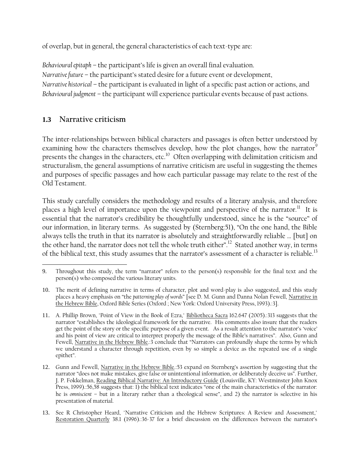of overlap, but in general, the general characteristics of each text-type are:

*Behavioural epitaph* – the participant"s life is given an overall final evaluation. *Narrative future* – the participant's stated desire for a future event or development, *Narrative historical* – the participant is evaluated in light of a specific past action or actions, and *Behavioural judgment* – the participant will experience particular events because of past actions.

## **1.3 Narrative criticism**

The inter-relationships between biblical characters and passages is often better understood by examining how the characters themselves develop, how the plot changes, how the narrator<sup>9</sup> presents the changes in the characters, etc. $^{10}\,$  Often overlapping with delimitation criticism and structuralism, the general assumptions of narrative criticism are useful in suggesting the themes and purposes of specific passages and how each particular passage may relate to the rest of the Old Testament.

This study carefully considers the methodology and results of a literary analysis, and therefore places a high level of importance upon the viewpoint and perspective of the narrator.<sup>11</sup> It is essential that the narrator's credibility be thoughtfully understood, since he is the "source" of our information, in literary terms. As suggested by (Sternberg:51), "On the one hand, the Bible always tells the truth in that its narrator is absolutely and straightforwardly reliable … [but] on the other hand, the narrator does not tell the whole truth either". $^{12}$  Stated another way, in terms of the biblical text, this study assumes that the narrator's assessment of a character is reliable. $^{13}$ 

 $\overline{a}$ 9. Throughout this study, the term "narrator" refers to the person(s) responsible for the final text and the person(s) who composed the various literary units.

<sup>10.</sup> The merit of defining narrative in terms of character, plot and word-play is also suggested, and this study places a heavy emphasis on "the *patterning play of words*" [see D. M. Gunn and Danna Nolan Fewell, Narrative in the Hebrew Bible, Oxford Bible Series (Oxford ; New York: Oxford University Press, 1993).:3].

<sup>11.</sup> A. Phillip Brown, "Point of View in the Book of Ezra," Bibliotheca Sacra 162.647 (2005).:313 suggests that the narrator "establishes the ideological framework for the narrative. His comments also insure that the readers get the point of the story or the specific purpose of a given event. As a result attention to the narrator"s "voice" and his point of view are critical to interpret properly the message of the Bible"s narratives". Also, Gunn and Fewell, Narrative in the Hebrew Bible.:3 conclude that "Narrators can profoundly shape the terms by which we understand a character through repetition, even by so simple a device as the repeated use of a single epithet".

<sup>12.</sup> Gunn and Fewell, Narrative in the Hebrew Bible.:53 expand on Sternberg"s assertion by suggesting that the narrator "does not make mistakes, give false or unintentional information, or deliberately deceive us". Further, J. P. Fokkelman, Reading Biblical Narrative: An Introductory Guide (Louisville, KY: Westminster John Knox Press, 1999).:56,58 suggests that: 1) the biblical text indicates "one of the main characteristics of the narrator: he is *omniscient* – but in a literary rather than a theological sense", and 2) the narrator is selective in his presentation of material.

<sup>13.</sup> See R Christopher Heard, "Narrative Criticism and the Hebrew Scriptures: A Review and Assessment," Restoration Quarterly 38.1 (1996).:36-37 for a brief discussion on the differences between the narrator"s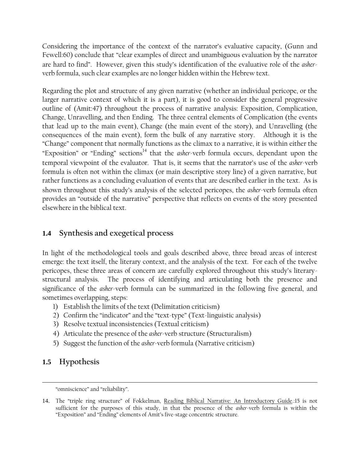Considering the importance of the context of the narrator's evaluative capacity, (Gunn and Fewell:60) conclude that "clear examples of direct and unambiguous evaluation by the narrator are hard to find". However, given this study"s identification of the evaluative role of the *asher*verb formula, such clear examples are no longer hidden within the Hebrew text.

Regarding the plot and structure of any given narrative (whether an individual pericope, or the larger narrative context of which it is a part), it is good to consider the general progressive outline of (Amit:47) throughout the process of narrative analysis: Exposition, Complication, Change, Unravelling, and then Ending. The three central elements of Complication (the events that lead up to the main event), Change (the main event of the story), and Unravelling (the consequences of the main event), form the bulk of any narrative story. Although it is the "Change" component that normally functions as the climax to a narrative, it is within either the "Exposition" or "Ending" sections<sup>14</sup> that the *asher*-verb formula occurs, dependant upon the temporal viewpoint of the evaluator. That is, it seems that the narrator"s use of the *asher*-verb formula is often not within the climax (or main descriptive story line) of a given narrative, but rather functions as a concluding evaluation of events that are described earlier in the text. As is shown throughout this study"s analysis of the selected pericopes, the *asher*-verb formula often provides an "outside of the narrative" perspective that reflects on events of the story presented elsewhere in the biblical text.

## **1.4 Synthesis and exegetical process**

In light of the methodological tools and goals described above, three broad areas of interest emerge: the text itself, the literary context, and the analysis of the text. For each of the twelve pericopes, these three areas of concern are carefully explored throughout this study"s literarystructural analysis. The process of identifying and articulating both the presence and significance of the *asher*-verb formula can be summarized in the following five general, and sometimes overlapping, steps:

- 1) Establish the limits of the text (Delimitation criticism)
- 2) Confirm the "indicator" and the "text-type" (Text-linguistic analysis)
- 3) Resolve textual inconsistencies (Textual criticism)
- 4) Articulate the presence of the *asher*-verb structure (Structuralism)
- 5) Suggest the function of the *asher*-verb formula (Narrative criticism)

## **1.5 Hypothesis**

 $\overline{a}$ 

<sup>&</sup>quot;omniscience" and "reliability".

<sup>14.</sup> The "triple ring structure" of Fokkelman, Reading Biblical Narrative: An Introductory Guide.:15 is not sufficient for the purposes of this study, in that the presence of the *asher*-verb formula is within the "Exposition" and "Ending" elements of Amit"s five-stage concentric structure.